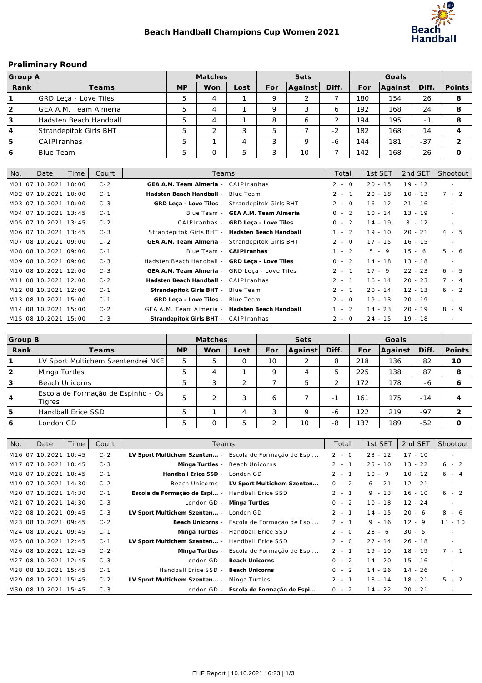

## **Preliminary Round**

| Group A |                              |           | Matches    |      | Sets |         |       |     |         |        |        |
|---------|------------------------------|-----------|------------|------|------|---------|-------|-----|---------|--------|--------|
| Rank    | Teams                        | <b>MP</b> | Won        | Lost | For  | Aqainst | Diff. | For | Against | Diff.  | Points |
|         | <b>GRD Leca - Love Tiles</b> | 5         | 4          |      |      | ∍       |       | 180 | 154     | 26     | 8      |
| 12      | GEA A.M. Team Almeria        | 5         | 4          |      |      | 3       |       | 192 | 168     | 24     | 8      |
| 3       | Hadsten Beach Handball       | 5         | 4          |      |      | 6       |       | 194 | 195     | $\sim$ | 8      |
| 14      | Strandepitok Girls BHT       | 5         | $\sqrt{2}$ | 3    |      |         | $-2$  | 182 | 168     | 14     |        |
| 15      | <b>CAIPIranhas</b>           | 5         |            | 4    |      | Q       | -6    | 144 | 181     | $-37$  |        |
| 16      | <b>Blue Team</b>             | 5         |            | 5    |      | 10      | $-1$  | 142 | 168     | $-26$  |        |

| No. | Date                  | Time | Court   | Teams                                           |                        | Total   | 1st SET   | 2nd SET   | Shootout   |
|-----|-----------------------|------|---------|-------------------------------------------------|------------------------|---------|-----------|-----------|------------|
|     | M01 07.10.2021 10:00  |      | $C - 2$ | GEA A.M. Team Almeria - CAIPIranhas             |                        | $2 - 0$ | $20 - 15$ | $19 - 12$ | $\sim$     |
|     | IM02 07.10.2021 10:00 |      | $C - 1$ | Hadsten Beach Handball -                        | Blue Team              | $2 - 1$ | $20 - 18$ | $10 - 13$ | $7 - 2$    |
|     | IM03 07.10.2021 10:00 |      | $C - 3$ | GRD Leca - Love Tiles - Strandepitok Girls BHT  |                        | $2 - 0$ | $16 - 12$ | $21 - 16$ | $\sim$     |
|     | 1M04 07.10.2021 13:45 |      | $C - 1$ | Blue Team -                                     | GEA A.M. Team Almeria  | $0 - 2$ | $10 - 14$ | $13 - 19$ | $\sim$     |
|     | M05 07.10.2021 13:45  |      | $C - 2$ | CAIPIranhas -                                   | GRD Leca - Love Tiles  | $0 - 2$ | $14 - 19$ | $8 - 12$  | $\sim$     |
|     | M06 07.10.2021 13:45  |      | $C - 3$ | Strandepitok Girls BHT - Hadsten Beach Handball |                        | $1 - 2$ | $19 - 10$ | $20 - 21$ | $4 - 5$    |
|     | M07 08.10.2021 09:00  |      | $C - 2$ | GEA A.M. Team Almeria -                         | Strandepitok Girls BHT | $2 - 0$ | $17 - 15$ | $16 - 15$ | $\sim$     |
|     | IM08 08.10.2021 09:00 |      | $C - 1$ | Blue Team -                                     | CAI PI ranhas          | $1 - 2$ | $5 - 9$   | $15 - 6$  | $5 - 6$    |
|     | IM09 08.10.2021 09:00 |      | $C - 3$ | Hadsten Beach Handball - GRD Leca - Love Tiles  |                        | $0 - 2$ | $14 - 18$ | $13 - 18$ | $\sim$ $-$ |
|     | 1M10 08.10.2021 12:00 |      | $C - 3$ | GEA A.M. Team Almeria -                         | GRD Leça - Love Tiles  | $2 - 1$ | $17 - 9$  | $22 - 23$ | $6 - 5$    |
|     | 1M11 08.10.2021 12:00 |      | $C - 2$ | Hadsten Beach Handball - CAIPIranhas            |                        | $2 - 1$ | $16 - 14$ | $20 - 23$ | $7 - 4$    |
|     | M12 08.10.2021 12:00  |      | $C - 1$ | Strandepitok Girls BHT -                        | Blue Team              | $2 - 1$ | $20 - 14$ | $12 - 13$ | $6 - 2$    |
|     | 1M13 08.10.2021 15:00 |      | $C - 1$ | GRD Leça - Love Tiles -                         | Blue Team              | $2 - 0$ | $19 - 13$ | $20 - 19$ | $\sim 100$ |
|     | M14 08.10.2021 15:00  |      | $C - 2$ | GEA A.M. Team Almeria -                         | Hadsten Beach Handball | $1 - 2$ | $14 - 23$ | $20 - 19$ | $8 - 9$    |
|     | M15 08.10.2021 15:00  |      | $C - 3$ | Strandepitok Girls BHT - CAIPIranhas            |                        | $2 - 0$ | $24 - 15$ | $19 - 18$ | $\sim$     |

| Group B        |                                                |           | Matches |                |        | Sets        |                          |     |         |       |               |
|----------------|------------------------------------------------|-----------|---------|----------------|--------|-------------|--------------------------|-----|---------|-------|---------------|
|                |                                                |           |         |                |        |             |                          |     |         |       |               |
| Rank           | Teams                                          | <b>MP</b> | Won     | Lost           | For    | Aqainst     | Diff.                    | For | Aqainst | Diff. | <b>Points</b> |
|                | LV Sport Multichem Szentendrei NKE             | 5         | 5       | $\Omega$       | 10     | 2           | 8                        | 218 | 136     | 82    | 10            |
| $\overline{2}$ | Minga Turtles                                  | 5         | 4       |                | Q      | 4           |                          | 225 | 138     | 87    | 8             |
| 3              | lBeach Unicorns                                | 5         | っ<br>د. | $\overline{2}$ |        | 5           | $\overline{ }$           | 172 | 178     | -6    |               |
| <sup>4</sup>   | Escola de Formação de Espinho - Os  <br>Tigres | 5         | ◠       | 3              | 6      |             | $\overline{\phantom{a}}$ | 161 | 175     | $-14$ |               |
| 5              | Handball Erice SSD                             | 5         |         | 4              | ◠      | $\mathsf Q$ | -6                       | 122 | 219     | $-97$ | ⌒             |
| 16             | London GD                                      | 5         |         | 5              | $\sim$ | 10          | -8                       | 137 | 189     | $-52$ |               |

| No. | Date                  | Time | Court   | Teams                        |                            | Total   | 1st SET   | 2nd SET   | Shootout  |
|-----|-----------------------|------|---------|------------------------------|----------------------------|---------|-----------|-----------|-----------|
|     | M16 07.10.2021 10:45  |      | $C - 2$ | LV Sport Multichem Szenten - | Escola de Formação de Espi | $2 - 0$ | $23 - 12$ | $17 - 10$ | $\sim$    |
|     | 1M17 07.10.2021 10:45 |      | $C - 3$ | Minga Turtles -              | Beach Unicorns             | $2 - 1$ | $25 - 10$ | $13 - 22$ | $6 - 2$   |
|     | M18 07.10.2021 10:45  |      | $C - 1$ | Handball Erice SSD -         | London GD                  | $2 - 1$ | $10 - 9$  | $10 - 12$ | $6 - 4$   |
|     | 1M19 07.10.2021 14:30 |      | $C - 2$ | Beach Unicorns -             | LV Sport Multichem Szenten | $0 - 2$ | $6 - 21$  | $12 - 21$ | $\sim$    |
|     | 1M20 07.10.2021 14:30 |      | $C - 1$ | Escola de Formação de Espi - | Handball Erice SSD         | $2 - 1$ | $9 - 13$  | $16 - 10$ | $6 - 2$   |
|     | M21 07.10.2021 14:30  |      | $C - 3$ | London GD -                  | Minga Turtles              | $0 - 2$ | $10 - 18$ | $12 - 24$ | $\sim$    |
|     | M22 08.10.2021 09:45  |      | $C - 3$ | LV Sport Multichem Szenten - | London GD                  | $2 - 1$ | $14 - 15$ | $20 - 6$  | $8 - 6$   |
|     | M23 08.10.2021 09:45  |      | $C - 2$ | Beach Unicorns -             | Escola de Formação de Espi | $2 - 1$ | $9 - 16$  | $12 - 9$  | $11 - 10$ |
|     | M24 08.10.2021 09:45  |      | $C - 1$ | Minga Turtles -              | Handball Erice SSD         | $2 - 0$ | $28 - 6$  | $30 - 5$  | $\sim$    |
|     | M25 08.10.2021 12:45  |      | $C - 1$ | LV Sport Multichem Szenten - | Handball Erice SSD         | $2 - 0$ | $27 - 14$ | $26 - 18$ | $\sim$    |
|     | M26 08.10.2021 12:45  |      | $C - 2$ | Minga Turtles -              | Escola de Formação de Espi | $2 - 1$ | $19 - 10$ | $18 - 19$ | $7 - 1$   |
|     | M27 08.10.2021 12:45  |      | $C - 3$ | London GD -                  | <b>Beach Unicorns</b>      | $0 - 2$ | $14 - 20$ | $15 - 16$ | $\sim$    |
|     | M28 08.10.2021 15:45  |      | $C - 1$ | Handball Erice SSD -         | <b>Beach Unicorns</b>      | $0 - 2$ | $14 - 26$ | $14 - 26$ | $\sim$    |
|     | M29 08.10.2021 15:45  |      | $C - 2$ | LV Sport Multichem Szenten - | Minga Turtles              | $2 - 1$ | $18 - 14$ | $18 - 21$ | $5 - 2$   |
|     | 1M30 08.10.2021 15:45 |      | $C - 3$ | London GD -                  | Escola de Formação de Espi | $0 - 2$ | $14 - 22$ | $20 - 21$ | $\sim$    |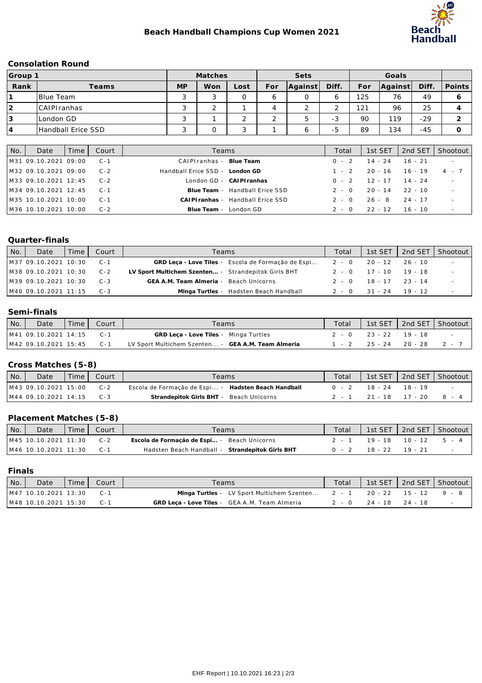

#### **Consolation Round**

| Group " |                    | Matches   |     |        | Sets |                               |               |     |         |       |        |
|---------|--------------------|-----------|-----|--------|------|-------------------------------|---------------|-----|---------|-------|--------|
| Rank    | Teams              | <b>MP</b> | Won | Lost   | For  | Aqainst                       | Diff.         | For | Against | Diff. | Points |
|         | <b>Blue Team</b>   |           |     | 0      |      | 0                             |               | 125 | 76      | 49    |        |
|         | CAIPIranhas        |           |     |        |      | $\Omega$                      |               | 121 | 96      | 25    |        |
| l3      | ILondon GD         | s.        |     | $\sim$ |      | $\overline{\phantom{0}}$<br>b | $\sim$<br>- 3 | 90  | 119     | $-29$ |        |
| 14      | Handball Erice SSD |           |     | 2      |      | ь                             | -5            | 89  | 134     | $-45$ |        |

| No. | Date                 | Time I | Court   | Teams                              | Total   | 1st SET                 | 2nd SET | Shootout   |
|-----|----------------------|--------|---------|------------------------------------|---------|-------------------------|---------|------------|
|     | M31 09.10.2021 09:00 |        | $C - 1$ | CAIPIranhas - Blue Team            | $0 - 2$ | 14 - 24 16 - 21         |         | $\sim 100$ |
|     | M32 09.10.2021 09:00 |        | $C - 2$ | Handball Erice SSD - London GD     |         | $1 - 2$ 20 - 16 16 - 19 |         | 4 - 7      |
|     | M33 09.10.2021 12:45 |        | $C - 2$ | London GD - CAIPIranhas            |         | $0 - 2$ 12 - 17 14 - 24 |         |            |
|     | M34 09.10.2021 12:45 |        | $C - 1$ | Blue Team - Handball Erice SSD     | $2 - 0$ | 20 - 14                 | 22 - 10 | $\sim$     |
|     | M35 10.10.2021 10:00 |        | $C - 1$ | CAI PI ranhas - Handball Erice SSD | $2 - 0$ | 26 - 8 24 - 17          |         |            |
|     | M36 10.10.2021 10:00 |        | $C-2$   | Blue Team - London GD              | $2 - 0$ | $22 - 12$ 16 - 10       |         |            |

## **Quarter-finals**

| No. | Date                       | l Time l | Court   | Teams                                                                    | Total |                         | 1st SET   2nd SET   Shootout |
|-----|----------------------------|----------|---------|--------------------------------------------------------------------------|-------|-------------------------|------------------------------|
|     | M37 09.10.2021 10:30       |          | $C-1$   | GRD Leca - Love Tiles - Escola de Formação de Espi 2 - 0 20 - 12 26 - 10 |       |                         | $\sim$ $-$                   |
|     | M38 09.10.2021 10:30 C-2   |          |         | LV Sport Multichem Szenten - Strandepitok Girls BHT                      |       | $2 - 0$ 17 - 10 19 - 18 |                              |
|     | M39 09.10.2021 10:30       |          | $C - 3$ | GEA A.M. Team Almeria - Beach Unicorns                                   |       | $2 - 0$ 18 - 17 23 - 14 |                              |
|     | $MAO$ 09.10.2021 11:15 C-3 |          |         | Minga Turtles - Hadsten Beach Handball                                   |       | 2 - 0 31 - 24 19 - 12   |                              |

### **Semi-finals**

| l No. | Date                     | Time I | Court | Teams                                              | Total \ |                                     | 1st SET   2nd SET   Shootout |
|-------|--------------------------|--------|-------|----------------------------------------------------|---------|-------------------------------------|------------------------------|
|       | M41 09.10.2021 14:15     |        |       | GRD Leca - Love Tiles - Minga Turtles              |         | $2 - 0$ $23 - 22$ $19 - 18$         |                              |
|       | M42 09.10.2021 15:45 C-1 |        |       | LV Sport Multichem Szenten - GEA A.M. Team Almeria |         | $1 - 2$ $25 - 24$ $20 - 28$ $2 - 7$ |                              |

# **Cross Matches (5-8)**

| $N$ o. | Date                      | Time L | Court   | Teams                                               | Total |                         | 1st SET   2nd SET   Shootout |
|--------|---------------------------|--------|---------|-----------------------------------------------------|-------|-------------------------|------------------------------|
|        | M43 09.10.2021 15:00      |        | $C - 2$ | Escola de Formação de Espi - Hadsten Beach Handball |       | $0 - 2$ 18 - 24 18 - 19 |                              |
|        | $IM4409.10.202114:15 C-3$ |        |         | Strandepitok Girls BHT - Beach Unicorns             |       |                         | 2 - 1 21 - 18 17 - 20 8 - 4  |

# **Placement Matches (5-8)**

| No. | Date                 | Time I | Court   | Teams                                           | Total   |                               | 1st SET   2nd SET   Shootout |
|-----|----------------------|--------|---------|-------------------------------------------------|---------|-------------------------------|------------------------------|
|     | M45 10.10.2021 11:30 |        | $C - 2$ | Escola de Formação de Espi - Beach Unicorns     |         | $2 - 1$ 19 - 18 10 - 12 5 - 4 |                              |
|     | M46 10.10.2021 11:30 |        |         | Hadsten Beach Handball - Strandepitok Girls BHT | $0 - 2$ | $18 - 22$ $19 - 21$           |                              |

**Finals** 

| $N_{\rm O}$ . | Date                 | Time | Court | Teams                                                                  | Total |                       | 1st SET   2nd SET   Shootout |
|---------------|----------------------|------|-------|------------------------------------------------------------------------|-------|-----------------------|------------------------------|
|               | M47 10.10.2021 13:30 |      | $C-1$ | Minga Turtles - LV Sport Multichem Szenten 2 - 1 20 - 22 15 - 12 9 - 8 |       |                       |                              |
|               | M48 10.10.2021 15:30 |      |       | GRD Leca - Love Tiles - GEA A.M. Team Almeria                          |       | 2 - 0 24 - 18 24 - 18 |                              |